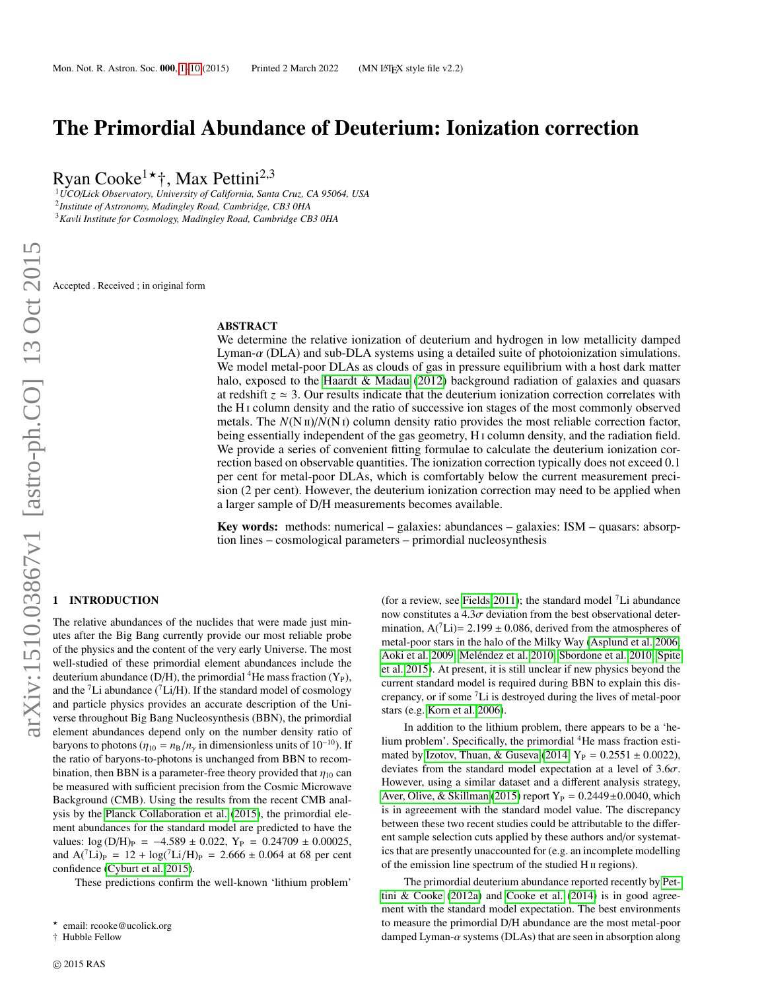# <span id="page-0-1"></span>The Primordial Abundance of Deuterium: Ionization correction

Ryan Cooke<sup>1\*†</sup>, Max Pettini<sup>2,3</sup>

<sup>1</sup>*UCO*/*Lick Observatory, University of California, Santa Cruz, CA 95064, USA* 2 *Institute of Astronomy, Madingley Road, Cambridge, CB3 0HA* <sup>3</sup>*Kavli Institute for Cosmology, Madingley Road, Cambridge CB3 0HA*

Accepted . Received ; in original form

## ABSTRACT

We determine the relative ionization of deuterium and hydrogen in low metallicity damped Lyman-α (DLA) and sub-DLA systems using a detailed suite of photoionization simulations. We model metal-poor DLAs as clouds of gas in pressure equilibrium with a host dark matter halo, exposed to the [Haardt & Madau](#page-9-0) [\(2012\)](#page-9-0) background radiation of galaxies and quasars at redshift  $z \approx 3$ . Our results indicate that the deuterium ionization correction correlates with the H i column density and the ratio of successive ion stages of the most commonly observed metals. The  $N(N_I)/N(N_I)$  column density ratio provides the most reliable correction factor, being essentially independent of the gas geometry, H<sub>1</sub> column density, and the radiation field. We provide a series of convenient fitting formulae to calculate the deuterium ionization correction based on observable quantities. The ionization correction typically does not exceed 0.<sup>1</sup> per cent for metal-poor DLAs, which is comfortably below the current measurement precision (2 per cent). However, the deuterium ionization correction may need to be applied when a larger sample of D/H measurements becomes available.

**Key words:** methods: numerical – galaxies: abundances – galaxies: ISM – quasars: absorption lines – cosmological parameters – primordial nucleosynthesis

# <span id="page-0-0"></span>1 INTRODUCTION

The relative abundances of the nuclides that were made just minutes after the Big Bang currently provide our most reliable probe of the physics and the content of the very early Universe. The most well-studied of these primordial element abundances include the deuterium abundance (D/H), the primordial <sup>4</sup>He mass fraction  $(Y_P)$ , and the  ${}^{7}Li$  abundance ( ${}^{7}Li/H$ ). If the standard model of cosmology and particle physics provides an accurate description of the Universe throughout Big Bang Nucleosynthesis (BBN), the primordial element abundances depend only on the number density ratio of baryons to photons ( $\eta_{10} = n_B/n_\gamma$  in dimensionless units of 10<sup>-10</sup>). If the ratio of baryons-to-photons is unchanged from BBN to recombination, then BBN is a parameter-free theory provided that  $\eta_{10}$  can be measured with sufficient precision from the Cosmic Microwave Background (CMB). Using the results from the recent CMB analysis by the [Planck Collaboration et al.](#page-9-1) [\(2015\)](#page-9-1), the primordial element abundances for the standard model are predicted to have the values:  $log (D/H)_P = -4.589 \pm 0.022$ ,  $Y_P = 0.24709 \pm 0.00025$ , and  $A^{\text{(7)}}$ Li)<sub>P</sub> = 12 + log(<sup>7</sup>Li/H)<sub>P</sub> = 2.666 ± 0.064 at 68 per cent confidence [\(Cyburt et al. 2015\)](#page-9-2).

These predictions confirm the well-known 'lithium problem'

† Hubble Fellow

(for a review, see [Fields 2011\)](#page-9-3); the standard model  ${}^{7}Li$  abundance now constitutes a  $4.3\sigma$  deviation from the best observational determination,  $A(^{7}Li) = 2.199 \pm 0.086$ , derived from the atmospheres of metal-poor stars in the halo of the Milky Way [\(Asplund et al. 2006;](#page-9-4) [Aoki et al. 2009;](#page-9-5) Meléndez et al. 2010; [Sbordone et al. 2010;](#page-9-7) [Spite](#page-9-8) [et al. 2015\)](#page-9-8). At present, it is still unclear if new physics beyond the current standard model is required during BBN to explain this discrepancy, or if some <sup>7</sup>Li is destroyed during the lives of metal-poor stars (e.g. [Korn et al. 2006\)](#page-9-9).

In addition to the lithium problem, there appears to be a 'helium problem'. Specifically, the primordial <sup>4</sup>He mass fraction esti-mated by [Izotov, Thuan, & Guseva](#page-9-10) [\(2014,](#page-9-10)  $Y_P = 0.2551 \pm 0.0022$ ), deviates from the standard model expectation at a level of  $3.6\sigma$ . However, using a similar dataset and a different analysis strategy, [Aver, Olive, & Skillman](#page-9-11) [\(2015\)](#page-9-11) report  $Y_P = 0.2449 \pm 0.0040$ , which is in agreeement with the standard model value. The discrepancy between these two recent studies could be attributable to the different sample selection cuts applied by these authors and/or systematics that are presently unaccounted for (e.g. an incomplete modelling of the emission line spectrum of the studied H ii regions).

The primordial deuterium abundance reported recently by [Pet](#page-9-12)[tini & Cooke](#page-9-12) [\(2012a\)](#page-9-12) and [Cooke et al.](#page-9-13) [\(2014\)](#page-9-13) is in good agreement with the standard model expectation. The best environments to measure the primordial D/H abundance are the most metal-poor damped Lyman- $\alpha$  systems (DLAs) that are seen in absorption along

<sup>\*</sup> email: rcooke@ucolick.org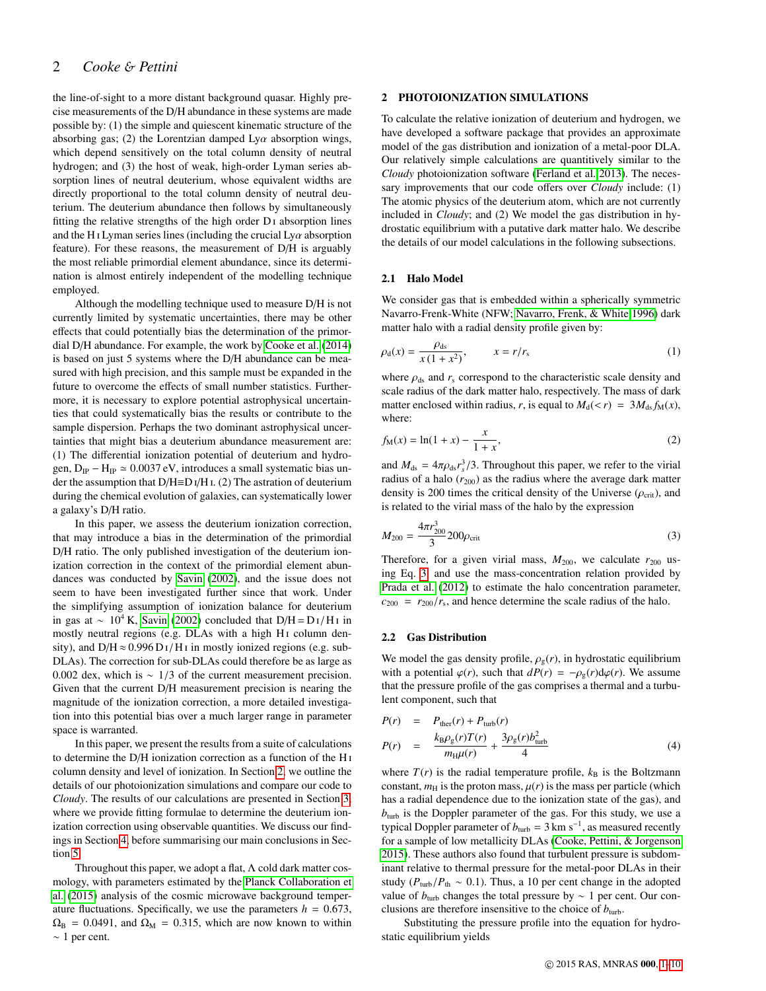# 2 *Cooke* & *Pettini*

the line-of-sight to a more distant background quasar. Highly precise measurements of the D/H abundance in these systems are made possible by: (1) the simple and quiescent kinematic structure of the absorbing gas; (2) the Lorentzian damped  $Ly\alpha$  absorption wings, which depend sensitively on the total column density of neutral hydrogen; and (3) the host of weak, high-order Lyman series absorption lines of neutral deuterium, whose equivalent widths are directly proportional to the total column density of neutral deuterium. The deuterium abundance then follows by simultaneously fitting the relative strengths of the high order  $D<sub>I</sub>$  absorption lines and the H<sub>I</sub> Lyman series lines (including the crucial Ly $\alpha$  absorption feature). For these reasons, the measurement of D/H is arguably the most reliable primordial element abundance, since its determination is almost entirely independent of the modelling technique employed.

Although the modelling technique used to measure D/H is not currently limited by systematic uncertainties, there may be other effects that could potentially bias the determination of the primordial D/H abundance. For example, the work by [Cooke et al.](#page-9-13) [\(2014\)](#page-9-13) is based on just 5 systems where the D/H abundance can be measured with high precision, and this sample must be expanded in the future to overcome the effects of small number statistics. Furthermore, it is necessary to explore potential astrophysical uncertainties that could systematically bias the results or contribute to the sample dispersion. Perhaps the two dominant astrophysical uncertainties that might bias a deuterium abundance measurement are: (1) The differential ionization potential of deuterium and hydrogen,  $D_{IP} - H_{IP} \simeq 0.0037 \text{ eV}$ , introduces a small systematic bias under the assumption that  $D/H \equiv D I/H$  i. (2) The astration of deuterium during the chemical evolution of galaxies, can systematically lower a galaxy's D/H ratio.

In this paper, we assess the deuterium ionization correction, that may introduce a bias in the determination of the primordial D/H ratio. The only published investigation of the deuterium ionization correction in the context of the primordial element abundances was conducted by [Savin](#page-9-14) [\(2002\)](#page-9-14), and the issue does not seem to have been investigated further since that work. Under the simplifying assumption of ionization balance for deuterium in gas at ~ 10<sup>4</sup> K, [Savin](#page-9-14) [\(2002\)](#page-9-14) concluded that D/H = D<sub>I</sub>/H<sub>I</sub> in mostly neutral regions (e.g. DLAs with a high H<sub>I</sub> column density), and  $D/H \approx 0.996 D I/H I$  in mostly ionized regions (e.g. sub-DLAs). The correction for sub-DLAs could therefore be as large as 0.002 dex, which is <sup>∼</sup> <sup>1</sup>/3 of the current measurement precision. Given that the current D/H measurement precision is nearing the magnitude of the ionization correction, a more detailed investigation into this potential bias over a much larger range in parameter space is warranted.

In this paper, we present the results from a suite of calculations to determine the D/H ionization correction as a function of the H i column density and level of ionization. In Section [2,](#page-1-0) we outline the details of our photoionization simulations and compare our code to *Cloudy*. The results of our calculations are presented in Section [3,](#page-6-0) where we provide fitting formulae to determine the deuterium ionization correction using observable quantities. We discuss our findings in Section [4,](#page-8-0) before summarising our main conclusions in Section [5.](#page-8-1)

Throughout this paper, we adopt a flat, Λ cold dark matter cosmology, with parameters estimated by the [Planck Collaboration et](#page-9-1) [al.](#page-9-1) [\(2015\)](#page-9-1) analysis of the cosmic microwave background temperature fluctuations. Specifically, we use the parameters  $h = 0.673$ ,  $\Omega_{\text{B}} = 0.0491$ , and  $\Omega_{\text{M}} = 0.315$ , which are now known to within ∼ 1 per cent.

# <span id="page-1-0"></span>2 PHOTOIONIZATION SIMULATIONS

To calculate the relative ionization of deuterium and hydrogen, we have developed a software package that provides an approximate model of the gas distribution and ionization of a metal-poor DLA. Our relatively simple calculations are quantitively similar to the *Cloudy* photoionization software [\(Ferland et al. 2013\)](#page-9-15). The necessary improvements that our code offers over *Cloudy* include: (1) The atomic physics of the deuterium atom, which are not currently included in *Cloudy*; and (2) We model the gas distribution in hydrostatic equilibrium with a putative dark matter halo. We describe the details of our model calculations in the following subsections.

## 2.1 Halo Model

We consider gas that is embedded within a spherically symmetric Navarro-Frenk-White (NFW; [Navarro, Frenk, & White 1996\)](#page-9-16) dark matter halo with a radial density profile given by:

$$
\rho_d(x) = \frac{\rho_{ds}}{x(1+x^2)}, \qquad x = r/r_s \tag{1}
$$

where  $\rho_{ds}$  and  $r_s$  correspond to the characteristic scale density and scale radius of the dark matter halo, respectively. The mass of dark matter enclosed within radius, *r*, is equal to  $M_d(*r*) = 3M_{ds} f_M(*x*),$ where:

$$
f_{\mathcal{M}}(x) = \ln(1+x) - \frac{x}{1+x},
$$
 (2)

and  $M_{ds} = 4\pi \rho_{ds} r_s^3/3$ . Throughout this paper, we refer to the virial radius of a halo (ress) as the radius where the average dark matter radius of a halo  $(r_{200})$  as the radius where the average dark matter density is 200 times the critical density of the Universe ( $\rho_{\rm crit}$ ), and is related to the virial mass of the halo by the expression

<span id="page-1-1"></span>
$$
M_{200} = \frac{4\pi r_{200}^3}{3} 200 \rho_{\rm crit} \tag{3}
$$

Therefore, for a given virial mass,  $M_{200}$ , we calculate  $r_{200}$  using Eq. [3,](#page-1-1) and use the mass-concentration relation provided by [Prada et al.](#page-9-17) [\(2012\)](#page-9-17) to estimate the halo concentration parameter,  $c_{200} = r_{200}/r_s$ , and hence determine the scale radius of the halo.

## 2.2 Gas Distribution

We model the gas density profile,  $\rho_{\rm g}(r)$ , in hydrostatic equilibrium with a potential  $\varphi(r)$ , such that  $dP(r) = -\rho_g(r) d\varphi(r)$ . We assume that the pressure profile of the gas comprises a thermal and a turbulent component, such that

<span id="page-1-2"></span>
$$
P(r) = P_{\text{ther}}(r) + P_{\text{turb}}(r)
$$
  
\n
$$
P(r) = \frac{k_{\text{B}}\rho_{\text{g}}(r)T(r)}{m_{\text{H}}\mu(r)} + \frac{3\rho_{\text{g}}(r)b_{\text{turb}}^2}{4}
$$
 (4)

where  $T(r)$  is the radial temperature profile,  $k_B$  is the Boltzmann constant,  $m_H$  is the proton mass,  $\mu(r)$  is the mass per particle (which has a radial dependence due to the ionization state of the gas), and  $b<sub>turb</sub>$  is the Doppler parameter of the gas. For this study, we use a typical Doppler parameter of  $b<sub>turb</sub> = 3$  km s<sup>-1</sup>, as measured recently for a sample of low metallicity DLAs [\(Cooke, Pettini, & Jorgenson](#page-9-18) [2015\)](#page-9-18). These authors also found that turbulent pressure is subdominant relative to thermal pressure for the metal-poor DLAs in their study ( $P_{\text{turb}}/P_{\text{th}} \sim 0.1$ ). Thus, a 10 per cent change in the adopted value of  $b<sub>turb</sub>$  changes the total pressure by ∼ 1 per cent. Our conclusions are therefore insensitive to the choice of  $b<sub>turb</sub>$ .

Substituting the pressure profile into the equation for hydrostatic equilibrium yields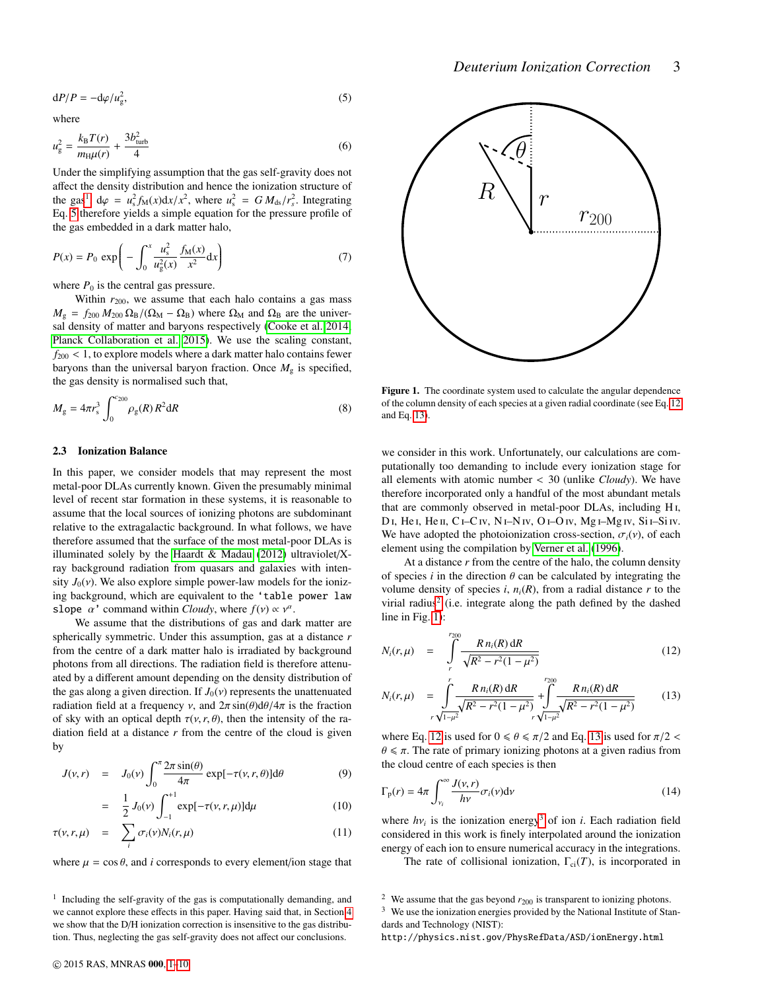*Deuterium Ionization Correction* 3

<span id="page-2-1"></span>
$$
dP/P = -d\varphi/u_g^2,\tag{5}
$$

where

$$
u_{\rm g}^2 = \frac{k_{\rm B}T(r)}{m_{\rm H}\mu(r)} + \frac{3b_{\rm turb}^2}{4}
$$
 (6)

Under the simplifying assumption that the gas self-gravity does not affect the density distribution and hence the ionization structure of the gas<sup>[1](#page-2-0)</sup>,  $d\varphi = u_s^2 f_M(x) dx/x^2$ , where  $u_s^2 = G M_{ds}/r_s^2$ . Integrating<br>Eq. 5 therefore viable a simple equation for the pressure profile of Eq. [5](#page-2-1) therefore yields a simple equation for the pressure profile of the gas embedded in a dark matter halo,

<span id="page-2-6"></span>
$$
P(x) = P_0 \exp\left(-\int_0^x \frac{u_s^2}{u_g^2(x)} \frac{f_M(x)}{x^2} dx\right)
$$
 (7)

where  $P_0$  is the central gas pressure.

Within  $r_{200}$ , we assume that each halo contains a gas mass  $M_{\rm g} = f_{200} M_{200} \Omega_{\rm B} / (\Omega_{\rm M} - \Omega_{\rm B})$  where  $\Omega_{\rm M}$  and  $\Omega_{\rm B}$  are the universal density of matter and baryons respectively [\(Cooke et al. 2014;](#page-9-13) [Planck Collaboration et al. 2015\)](#page-9-1). We use the scaling constant,  $f_{200}$  < 1, to explore models where a dark matter halo contains fewer baryons than the universal baryon fraction. Once  $M_{\rm g}$  is specified, the gas density is normalised such that,

$$
M_{\rm g} = 4\pi r_{\rm s}^3 \int_0^{c_{200}} \rho_{\rm g}(R) R^2 dR \tag{8}
$$

## 2.3 Ionization Balance

In this paper, we consider models that may represent the most metal-poor DLAs currently known. Given the presumably minimal level of recent star formation in these systems, it is reasonable to assume that the local sources of ionizing photons are subdominant relative to the extragalactic background. In what follows, we have therefore assumed that the surface of the most metal-poor DLAs is illuminated solely by the [Haardt & Madau](#page-9-0) [\(2012\)](#page-9-0) ultraviolet/ $X$ ray background radiation from quasars and galaxies with intensity  $J_0(v)$ . We also explore simple power-law models for the ionizing background, which are equivalent to the 'table power law slope  $\alpha'$  command within *Cloudy*, where  $f(v) \propto v^{\alpha}$ .<br>We assume that the distributions of gas and dark

We assume that the distributions of gas and dark matter are spherically symmetric. Under this assumption, gas at a distance *r* from the centre of a dark matter halo is irradiated by background photons from all directions. The radiation field is therefore attenuated by a different amount depending on the density distribution of the gas along a given direction. If  $J_0(v)$  represents the unattenuated radiation field at a frequency v, and  $2\pi \sin(\theta) d\theta/4\pi$  is the fraction of sky with an optical depth  $\tau(v, r, \theta)$ , then the intensity of the radiation field at a distance *r* from the centre of the cloud is given by

<span id="page-2-7"></span>
$$
J(\nu, r) = J_0(\nu) \int_0^{\pi} \frac{2\pi \sin(\theta)}{4\pi} \exp[-\tau(\nu, r, \theta)] d\theta \tag{9}
$$

$$
= \frac{1}{2} J_0(\nu) \int_{-1}^{+1} \exp[-\tau(\nu, r, \mu)] d\mu \tag{10}
$$

$$
\tau(\nu, r, \mu) = \sum_{i} \sigma_i(\nu) N_i(r, \mu) \tag{11}
$$

where  $\mu = \cos \theta$ , and *i* corresponds to every element/ion stage that



<span id="page-2-4"></span>Figure 1. The coordinate system used to calculate the angular dependence of the column density of each species at a given radial coordinate (see Eq. [12](#page-2-2) and Eq. [13\)](#page-2-2).

we consider in this work. Unfortunately, our calculations are computationally too demanding to include every ionization stage for all elements with atomic number < 30 (unlike *Cloudy*). We have therefore incorporated only a handful of the most abundant metals that are commonly observed in metal-poor DLAs, including H i, D<sub>I</sub>, He<sub>I</sub>, He<sub>II</sub>, C<sub>I</sub>-C<sub>IV</sub>, N<sub>I</sub>-N<sub>IV</sub>, O<sub>I</sub>-O<sub>IV</sub>, M<sub>gI</sub>-M<sub>gIV</sub>, S<sub>iI</sub>-S<sub>iIV</sub>. We have adopted the photoionization cross-section,  $\sigma_i(v)$ , of each element using the compilation by [Verner et al.](#page-9-19) [\(1996\)](#page-9-19).

At a distance *r* from the centre of the halo, the column density of species  $i$  in the direction  $\theta$  can be calculated by integrating the volume density of species *i*,  $n_i(R)$ , from a radial distance *r* to the virial radius<sup>[2](#page-2-3)</sup> (i.e. integrate along the path defined by the dashed line in Fig. [1\)](#page-2-4):

<span id="page-2-2"></span>
$$
N_i(r,\mu) = \int\limits_{r}^{r_{200}} \frac{R n_i(R) \, \mathrm{d}R}{\sqrt{R^2 - r^2(1 - \mu^2)}} \tag{12}
$$

$$
N_i(r,\mu) = \int_{r\sqrt{1-\mu^2}}^{r} \frac{R n_i(R) \, \mathrm{d}R}{\sqrt{R^2 - r^2(1-\mu^2)}} + \int_{r\sqrt{1-\mu^2}}^{r_{200}} \frac{R n_i(R) \, \mathrm{d}R}{\sqrt{R^2 - r^2(1-\mu^2)}} \tag{13}
$$

where Eq. [12](#page-2-2) is used for  $0 \le \theta \le \pi/2$  and Eq. [13](#page-2-2) is used for  $\pi/2$  <  $\theta \leq \pi$ . The rate of primary ionizing photons at a given radius from the cloud centre of each species is then

$$
\Gamma_{\mathbf{p}}(r) = 4\pi \int_{\nu_i}^{\infty} \frac{J(\nu, r)}{h\nu} \sigma_i(\nu) d\nu \tag{14}
$$

where  $h\nu_i$  is the ionization energy<sup>[3](#page-2-5)</sup> of ion *i*. Each radiation field considered in this work is finaly internalated around the ionization considered in this work is finely interpolated around the ionization energy of each ion to ensure numerical accuracy in the integrations.

The rate of collisional ionization,  $\Gamma_{ci}(T)$ , is incorporated in

http://physics.nist.gov/PhysRefData/ASD/ionEnergy.html

<span id="page-2-0"></span><sup>&</sup>lt;sup>1</sup> Including the self-gravity of the gas is computationally demanding, and we cannot explore these effects in this paper. Having said that, in Section [4](#page-8-0) we show that the D/H ionization correction is insensitive to the gas distribution. Thus, neglecting the gas self-gravity does not affect our conclusions.

<span id="page-2-5"></span><span id="page-2-3"></span><sup>&</sup>lt;sup>2</sup> We assume that the gas beyond  $r_{200}$  is transparent to ionizing photons.

 $3\,$  We use the ionization energies provided by the National Institute of Standards and Technology (NIST):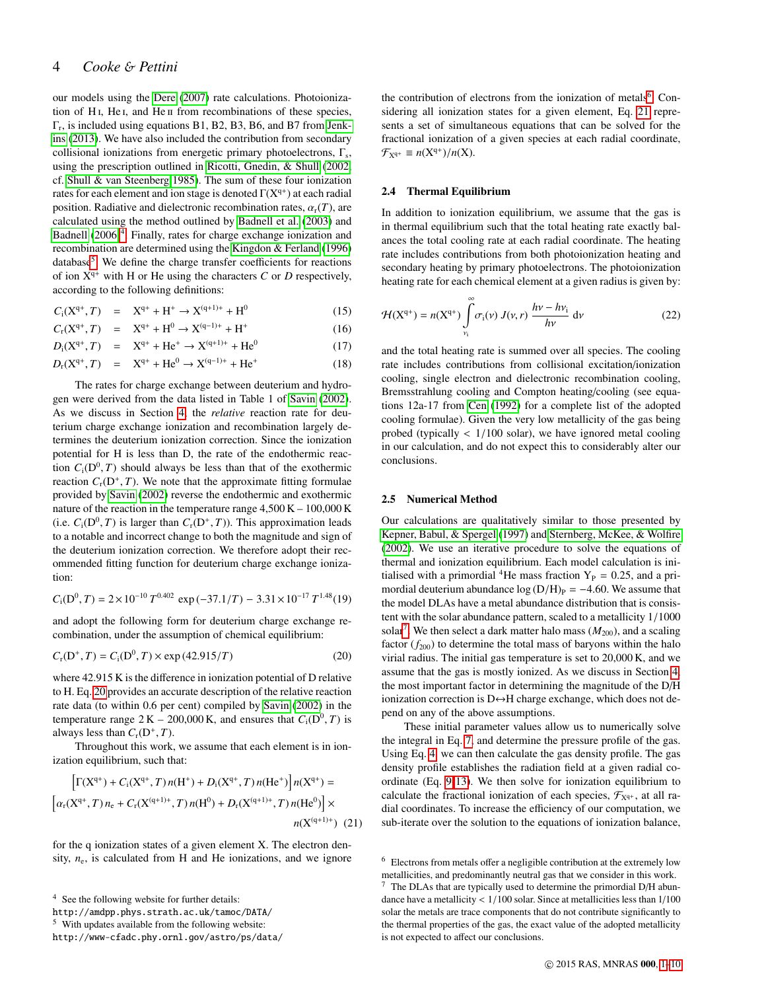# 4 *Cooke* & *Pettini*

our models using the [Dere](#page-9-20) [\(2007\)](#page-9-20) rate calculations. Photoionization of H<sub>I</sub>, He<sub>I</sub>, and He<sub>II</sub> from recombinations of these species, Γr , is included using equations B1, B2, B3, B6, and B7 from [Jenk](#page-9-21)[ins](#page-9-21) [\(2013\)](#page-9-21). We have also included the contribution from secondary collisional ionizations from energetic primary photoelectrons,  $\Gamma_s$ , using the prescription outlined in [Ricotti, Gnedin, & Shull](#page-9-22) [\(2002,](#page-9-22) cf. [Shull & van Steenberg 1985\)](#page-9-23). The sum of these four ionization rates for each element and ion stage is denoted  $\Gamma(X^{q+})$  at each radial position. Radiative and dielectronic recombination rates,  $\alpha_r(T)$ , are calculated using the method outlined by [Badnell et al.](#page-9-24) [\(2003\)](#page-9-24) and [Badnell](#page-9-25) [\(2006\)](#page-9-25)<sup>[4](#page-3-0)</sup>. Finally, rates for charge exchange ionization and recombination are determined using the [Kingdon & Ferland](#page-9-26) [\(1996\)](#page-9-26) database<sup>[5](#page-3-1)</sup>. We define the charge transfer coefficients for reactions of ion  $X^{q+}$  with H or He using the characters *C* or *D* respectively, according to the following definitions:

$$
C_1(X^{q+}, T) = X^{q+} + H^+ \to X^{(q+1)+} + H^0
$$
 (15)

$$
C_{r}(X^{q+}, T) = X^{q+} + H^{0} \rightarrow X^{(q-1)+} + H^{+}
$$
\n(16)

$$
D_{\rm i}(X^{q+},T) = X^{q+} + He^{+} \to X^{(q+1)+} + He^{0}
$$
 (17)

$$
D_{r}(X^{q+}, T) = X^{q+} + He^{0} \to X^{(q-1)+} + He^{+}
$$
 (18)

The rates for charge exchange between deuterium and hydrogen were derived from the data listed in Table 1 of [Savin](#page-9-14) [\(2002\)](#page-9-14). As we discuss in Section [4,](#page-8-0) the *relative* reaction rate for deuterium charge exchange ionization and recombination largely determines the deuterium ionization correction. Since the ionization potential for H is less than D, the rate of the endothermic reaction  $C_i(D^0, T)$  should always be less than that of the exothermic<br>reaction  $C_i(D^+ T)$ . We note that the approximate fitting formulae reaction  $C_r(D^+, T)$ . We note that the approximate fitting formulae<br>provided by Savin (2002) reverse the endothermic and exothermic provided by [Savin](#page-9-14) [\(2002\)](#page-9-14) reverse the endothermic and exothermic nature of the reaction in the temperature range 4,500 K – 100,000 K (i.e.  $C_i(D^0, T)$  is larger than  $C_r(D^+, T)$ ). This approximation leads<br>to a notable and incorrect change to both the magnitude and sign of to a notable and incorrect change to both the magnitude and sign of the deuterium ionization correction. We therefore adopt their recommended fitting function for deuterium charge exchange ionization:

$$
C_{\rm i}(D^0, T) = 2 \times 10^{-10} \, T^{0.402} \, \exp\left(-37.1/T\right) - 3.31 \times 10^{-17} \, T^{1.48}(19)
$$

and adopt the following form for deuterium charge exchange recombination, under the assumption of chemical equilibrium:

<span id="page-3-2"></span>
$$
C_{\rm r}(D^+, T) = C_{\rm i}(D^0, T) \times \exp(42.915/T) \tag{20}
$$

where 42.915 K is the difference in ionization potential of D relative to H. Eq. [20](#page-3-2) provides an accurate description of the relative reaction rate data (to within 0.6 per cent) compiled by [Savin](#page-9-14) [\(2002\)](#page-9-14) in the temperature range  $2K - 200,000$  K, and ensures that  $C_i(D^0, T)$  is always less than  $C(D^+T)$ always less than  $C_r(D^+, T)$ .<br>Throughout this work.

Throughout this work, we assume that each element is in ionization equilibrium, such that:

<span id="page-3-4"></span>
$$
\left[\Gamma(X^{q+}) + C_i(X^{q+}, T) n(H^+) + D_i(X^{q+}, T) n(He^+) \right] n(X^{q+}) =
$$
  

$$
\left[\alpha_r(X^{q+}, T) n_e + C_r(X^{(q+1)+}, T) n(H^0) + D_r(X^{(q+1)+}, T) n(He^0) \right] \times
$$
  

$$
n(X^{(q+1)+})
$$
 (21)

for the q ionization states of a given element X. The electron density,  $n_e$ , is calculated from H and He ionizations, and we ignore

the contribution of electrons from the ionization of metals<sup>[6](#page-3-3)</sup>. Considering all ionization states for a given element, Eq. [21](#page-3-4) represents a set of simultaneous equations that can be solved for the fractional ionization of a given species at each radial coordinate,  $\mathcal{F}_{X^{q+}} \equiv n(X^{q+})/n(X).$ 

## 2.4 Thermal Equilibrium

In addition to ionization equilibrium, we assume that the gas is in thermal equilibrium such that the total heating rate exactly balances the total cooling rate at each radial coordinate. The heating rate includes contributions from both photoionization heating and secondary heating by primary photoelectrons. The photoionization heating rate for each chemical element at a given radius is given by:

$$
\mathcal{H}(\mathbf{X}^{\mathbf{q}+}) = n(\mathbf{X}^{\mathbf{q}+}) \int\limits_{\nu_{\mathbf{i}}}^{\infty} \sigma_{\mathbf{i}}(\nu) J(\nu, r) \frac{h\nu - h\nu_{\mathbf{i}}}{h\nu} d\nu \tag{22}
$$

and the total heating rate is summed over all species. The cooling rate includes contributions from collisional excitation/ionization cooling, single electron and dielectronic recombination cooling, Bremsstrahlung cooling and Compton heating/cooling (see equations 12a-17 from [Cen](#page-9-27) [\(1992\)](#page-9-27) for a complete list of the adopted cooling formulae). Given the very low metallicity of the gas being probed (typically  $\langle 1/100 \text{ solar} \rangle$ , we have ignored metal cooling in our calculation, and do not expect this to considerably alter our conclusions.

## <span id="page-3-6"></span>2.5 Numerical Method

Our calculations are qualitatively similar to those presented by [Kepner, Babul, & Spergel](#page-9-28) [\(1997\)](#page-9-28) and [Sternberg, McKee, & Wolfire](#page-9-29) [\(2002\)](#page-9-29). We use an iterative procedure to solve the equations of thermal and ionization equilibrium. Each model calculation is initialised with a primordial <sup>4</sup>He mass fraction  $Y_P = 0.25$ , and a primordial deuterium abundance  $log (D/H)_P = -4.60$ . We assume that the model DLAs have a metal abundance distribution that is consistent with the solar abundance pattern, scaled to a metallicity 1/<sup>1000</sup> solar<sup>[7](#page-3-5)</sup>. We then select a dark matter halo mass  $(M_{200})$ , and a scaling factor  $(f_{200})$  to determine the total mass of baryons within the halo virial radius. The initial gas temperature is set to 20,000 K, and we assume that the gas is mostly ionized. As we discuss in Section [4,](#page-8-0) the most important factor in determining the magnitude of the D/H ionization correction is  $D \leftrightarrow H$  charge exchange, which does not depend on any of the above assumptions.

These initial parameter values allow us to numerically solve the integral in Eq. [7,](#page-2-6) and determine the pressure profile of the gas. Using Eq. [4,](#page-1-2) we can then calculate the gas density profile. The gas density profile establishes the radiation field at a given radial coordinate (Eq. [9](#page-2-7)[-13\)](#page-2-2). We then solve for ionization equilibrium to calculate the fractional ionization of each species,  $\mathcal{F}_{X^{q+}}$ , at all radial coordinates. To increase the efficiency of our computation, we sub-iterate over the solution to the equations of ionization balance,

<span id="page-3-0"></span><sup>4</sup> See the following website for further details:

http://amdpp.phys.strath.ac.uk/tamoc/DATA/

<span id="page-3-1"></span><sup>5</sup> With updates available from the following website:

http://www-cfadc.phy.ornl.gov/astro/ps/data/

<span id="page-3-3"></span><sup>6</sup> Electrons from metals offer a negligible contribution at the extremely low metallicities, and predominantly neutral gas that we consider in this work.

<span id="page-3-5"></span>The DLAs that are typically used to determine the primordial D/H abundance have a metallicity < <sup>1</sup>/100 solar. Since at metallicities less than 1/<sup>100</sup> solar the metals are trace components that do not contribute significantly to the thermal properties of the gas, the exact value of the adopted metallicity is not expected to affect our conclusions.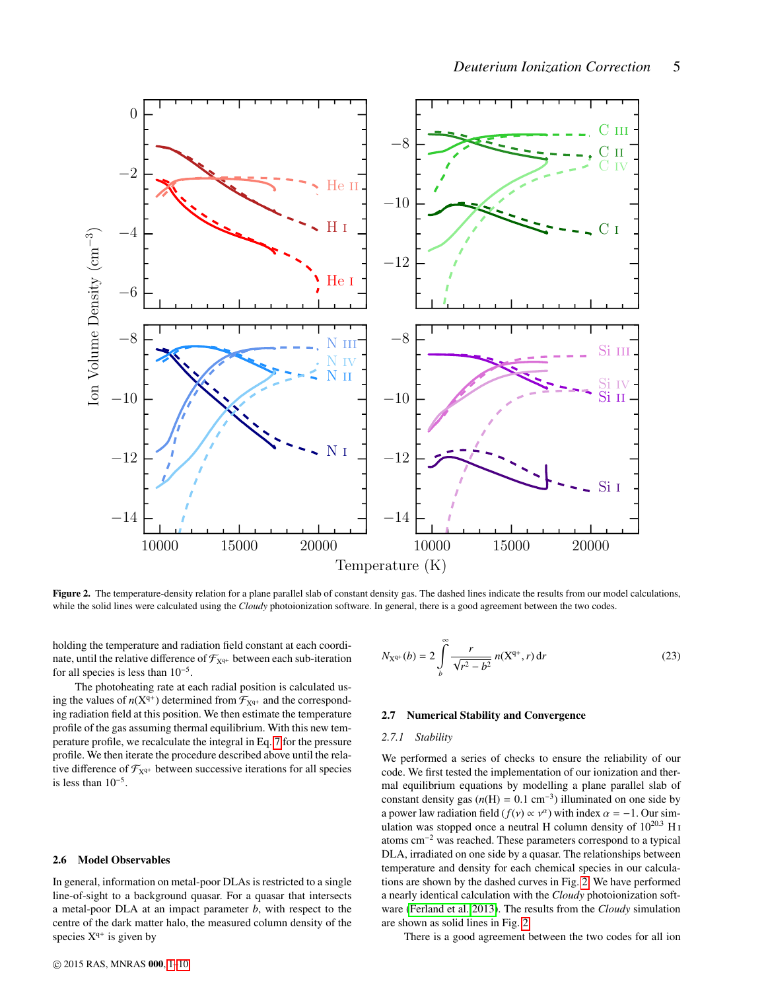

<span id="page-4-0"></span>Figure 2. The temperature-density relation for a plane parallel slab of constant density gas. The dashed lines indicate the results from our model calculations, while the solid lines were calculated using the *Cloudy* photoionization software. In general, there is a good agreement between the two codes.

holding the temperature and radiation field constant at each coordinate, until the relative difference of  $\mathcal{F}_{X^{q+}}$  between each sub-iteration for all species is less than  $10^{-5}$ .

The photoheating rate at each radial position is calculated using the values of  $n(X^{q+})$  determined from  $\mathcal{F}_{X^{q+}}$  and the corresponding radiation field at this position. We then estimate the temperature profile of the gas assuming thermal equilibrium. With this new temperature profile, we recalculate the integral in Eq. [7](#page-2-6) for the pressure profile. We then iterate the procedure described above until the relative difference of  $\mathcal{F}_{X^{q+}}$  between successive iterations for all species is less than 10<sup>−</sup><sup>5</sup> .

## 2.6 Model Observables

In general, information on metal-poor DLAs is restricted to a single line-of-sight to a background quasar. For a quasar that intersects a metal-poor DLA at an impact parameter *b*, with respect to the centre of the dark matter halo, the measured column density of the species  $X^{q+}$  is given by

<span id="page-4-1"></span>
$$
N_{X^{q+}}(b) = 2 \int_{b}^{\infty} \frac{r}{\sqrt{r^2 - b^2}} n(X^{q+}, r) dr
$$
 (23)

# 2.7 Numerical Stability and Convergence

## *2.7.1 Stability*

We performed a series of checks to ensure the reliability of our code. We first tested the implementation of our ionization and thermal equilibrium equations by modelling a plane parallel slab of constant density gas  $(n(H) = 0.1 \text{ cm}^{-3})$  illuminated on one side by<br>a power law radiation field  $(f(x) \propto x^a)$  with index  $\alpha = -1$ . Our sima power law radiation field  $(f(v) \propto v^{\alpha})$  with index  $\alpha = -1$ . Our sim-<br>ulation was stopped once a neutral H column density of 10<sup>20,3</sup> H<sub>1</sub> ulation was stopped once a neutral H column density of  $10^{20.3}$  H<sub>I</sub> atoms cm<sup>−</sup><sup>2</sup> was reached. These parameters correspond to a typical DLA, irradiated on one side by a quasar. The relationships between temperature and density for each chemical species in our calculations are shown by the dashed curves in Fig. [2.](#page-4-0) We have performed a nearly identical calculation with the *Cloudy* photoionization software [\(Ferland et al. 2013\)](#page-9-15). The results from the *Cloudy* simulation are shown as solid lines in Fig. [2.](#page-4-0)

There is a good agreement between the two codes for all ion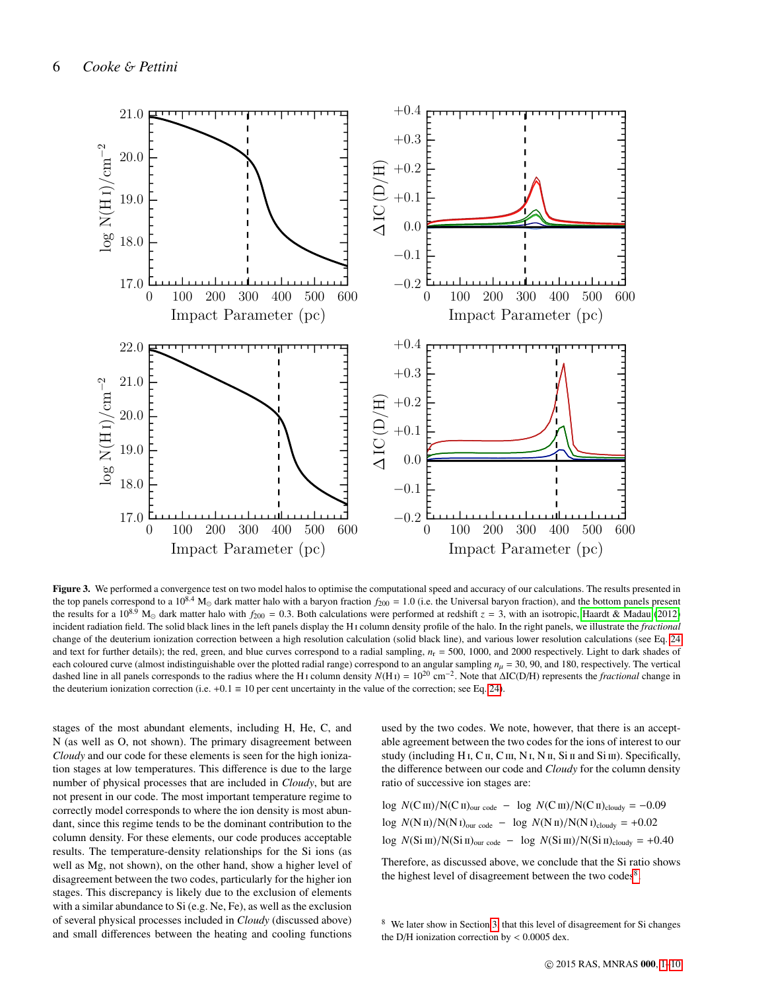

<span id="page-5-2"></span>Figure 3. We performed a convergence test on two model halos to optimise the computational speed and accuracy of our calculations. The results presented in the top panels correspond to a  $10^{8.4}$  M<sub> $\odot$ </sub> dark matter halo with a baryon fraction  $f_{200} = 1.0$  (i.e. the Universal baryon fraction), and the bottom panels present the results for a 10<sup>8.9</sup> M<sub>o</sub> dark matter halo with  $f_{200} = 0.3$ . Both calculations were performed at redshift  $z = 3$ , with an isotropic, [Haardt & Madau](#page-9-0) [\(2012\)](#page-9-0) incident radiation field. The solid black lines in the left panels display the H i column density profile of the halo. In the right panels, we illustrate the *fractional* change of the deuterium ionization correction between a high resolution calculation (solid black line), and various lower resolution calculations (see Eq. [24](#page-5-0) and text for further details); the red, green, and blue curves correspond to a radial sampling,  $n_r = 500$ , 1000, and 2000 respectively. Light to dark shades of each coloured curve (almost indistinguishable over the plotted radial range) correspond to an angular sampling  $n<sub>u</sub> = 30, 90$ , and 180, respectively. The vertical dashed line in all panels corresponds to the radius where the H i column density *N*(H i) = 10<sup>20</sup> cm−<sup>2</sup> . Note that ∆IC(D/H) represents the *fractional* change in the deuterium ionization correction (i.e. +0.1  $\equiv$  10 per cent uncertainty in the value of the correction; see Eq. [24\)](#page-5-0).

stages of the most abundant elements, including H, He, C, and N (as well as O, not shown). The primary disagreement between *Cloudy* and our code for these elements is seen for the high ionization stages at low temperatures. This difference is due to the large number of physical processes that are included in *Cloudy*, but are not present in our code. The most important temperature regime to correctly model corresponds to where the ion density is most abundant, since this regime tends to be the dominant contribution to the column density. For these elements, our code produces acceptable results. The temperature-density relationships for the Si ions (as well as Mg, not shown), on the other hand, show a higher level of disagreement between the two codes, particularly for the higher ion stages. This discrepancy is likely due to the exclusion of elements with a similar abundance to Si (e.g. Ne, Fe), as well as the exclusion of several physical processes included in *Cloudy* (discussed above) and small differences between the heating and cooling functions

used by the two codes. We note, however, that there is an acceptable agreement between the two codes for the ions of interest to our study (including H<sub>I</sub>, C<sub>II</sub>, C<sub>III</sub>, N<sub>I</sub>, N<sub>I</sub>, S<sub>i II</sub> and Si<sub>III</sub>). Specifically, the difference between our code and *Cloudy* for the column density ratio of successive ion stages are:

<span id="page-5-0"></span>log  $N(C \text{II})/N(C \text{II})_{\text{our code}} - \log N(C \text{II})/N(C \text{II})_{\text{cloudy}} = -0.09$ log  $N(N \text{ II})/N(N \text{ I})_{\text{our code}} - \log N(N \text{ II})/N(N \text{ I})_{\text{cloudy}} = +0.02$ log *N*(Si III)/N(Si II)<sub>our code</sub> − log *N*(Si III)/N(Si II)<sub>cloudy</sub> = +0.40

Therefore, as discussed above, we conclude that the Si ratio shows the highest level of disagreement between the two codes<sup>[8](#page-5-1)</sup>.

<span id="page-5-1"></span>We later show in Section [3,](#page-6-0) that this level of disagreement for Si changes the D/H ionization correction by  $< 0.0005$  dex.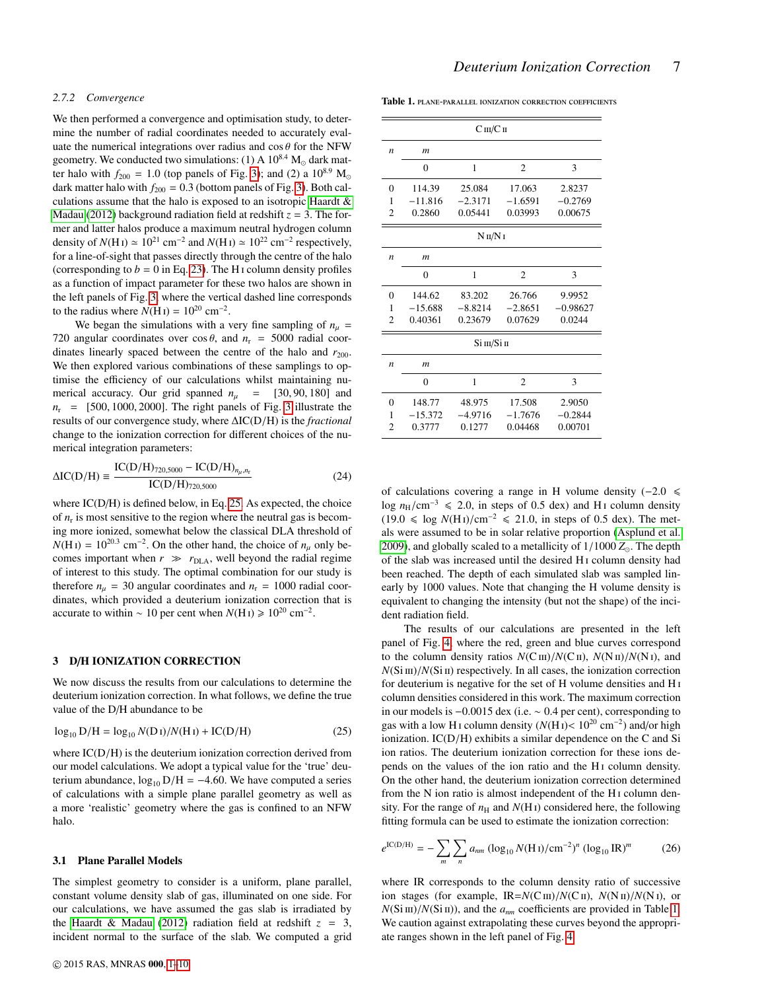#### <span id="page-6-4"></span>*2.7.2 Convergence*

We then performed a convergence and optimisation study, to determine the number of radial coordinates needed to accurately evaluate the numerical integrations over radius and  $\cos \theta$  for the NFW geometry. We conducted two simulations: (1) A  $10^{8.4}$  M<sub>o</sub> dark matter halo with  $f_{200} = 1.0$  (top panels of Fig. [3\)](#page-5-2); and (2) a  $10^{8.9}$  M<sub>o</sub> dark matter halo with  $f_{200} = 0.3$  (bottom panels of Fig. [3\)](#page-5-2). Both calculations assume that the halo is exposed to an isotropic [Haardt &](#page-9-0) [Madau](#page-9-0) [\(2012\)](#page-9-0) background radiation field at redshift  $z = 3$ . The former and latter halos produce a maximum neutral hydrogen column density of  $N(HI) \simeq 10^{21}$  cm<sup>-2</sup> and  $N(HI) \simeq 10^{22}$  cm<sup>-2</sup> respectively, for a line-of-sight that passes directly through the centre of the halo (corresponding to  $b = 0$  in Eq. [23\)](#page-4-1). The H<sub>I</sub> column density profiles as a function of impact parameter for these two halos are shown in the left panels of Fig. [3,](#page-5-2) where the vertical dashed line corresponds to the radius where  $N(HI) = 10^{20}$  cm<sup>-2</sup>.

We began the simulations with a very fine sampling of  $n<sub>\mu</sub>$  = 720 angular coordinates over  $\cos \theta$ , and  $n_r = 5000$  radial coordinates linearly spaced between the centre of the halo and  $r_{200}$ . We then explored various combinations of these samplings to optimise the efficiency of our calculations whilst maintaining numerical accuracy. Our grid spanned  $n<sub>u</sub> = [30, 90, 180]$  and  $n_r$  = [500, 1000, 2000]. The right panels of Fig. [3](#page-5-2) illustrate the results of our convergence study, where <sup>∆</sup>IC(D/H) is the *fractional* change to the ionization correction for different choices of the numerical integration parameters:

$$
\Delta IC(D/H) = \frac{IC(D/H)_{720,5000} - IC(D/H)_{n_{\mu},n_{\tau}}}{IC(D/H)_{720,5000}}
$$
(24)

where IC(D/H) is defined below, in Eq. [25.](#page-6-1) As expected, the choice of  $n_r$  is most sensitive to the region where the neutral gas is becoming more ionized, somewhat below the classical DLA threshold of  $N(HI) = 10^{20.3}$  cm<sup>-2</sup>. On the other hand, the choice of  $n<sub>\mu</sub>$  only becomes important when  $r \gg r_{\text{DLA}}$ , well beyond the radial regime of interest to this study. The optimal combination for our study is therefore  $n_u = 30$  angular coordinates and  $n_r = 1000$  radial coordinates, which provided a deuterium ionization correction that is accurate to within ~ 10 per cent when  $N(HI) \ge 10^{20}$  cm<sup>-2</sup>.

## <span id="page-6-0"></span>3 D/H IONIZATION CORRECTION

We now discuss the results from our calculations to determine the deuterium ionization correction. In what follows, we define the true value of the D/H abundance to be

<span id="page-6-1"></span>
$$
\log_{10} D/H = \log_{10} N(D1)/N(H1) + IC(D/H)
$$
 (25)

where IC(D/H) is the deuterium ionization correction derived from our model calculations. We adopt a typical value for the 'true' deuterium abundance,  $log_{10} D/H = -4.60$ . We have computed a series of calculations with a simple plane parallel geometry as well as a more 'realistic' geometry where the gas is confined to an NFW halo.

#### <span id="page-6-3"></span>3.1 Plane Parallel Models

The simplest geometry to consider is a uniform, plane parallel, constant volume density slab of gas, illuminated on one side. For our calculations, we have assumed the gas slab is irradiated by the [Haardt & Madau](#page-9-0) [\(2012\)](#page-9-0) radiation field at redshift  $z = 3$ , incident normal to the surface of the slab. We computed a grid

<span id="page-6-2"></span>Table 1. PLANE-PARALLEL IONIZATION CORRECTION COEFFICIENTS

| $C \text{ in} / C \text{ in}$ |                  |              |                |            |
|-------------------------------|------------------|--------------|----------------|------------|
| $\boldsymbol{n}$              | $\mathfrak{m}$   |              |                |            |
|                               | $\theta$         | $\mathbf{1}$ | $\overline{c}$ | 3          |
| $\theta$                      | 114.39           | 25.084       | 17.063         | 2.8237     |
| 1                             | $-11.816$        | $-2.3171$    | $-1.6591$      | $-0.2769$  |
| $\overline{c}$                | 0.2860           | 0.05441      | 0.03993        | 0.00675    |
| $N$ II/ $N$ I                 |                  |              |                |            |
| $\boldsymbol{n}$              | $\boldsymbol{m}$ |              |                |            |
|                               | $\theta$         | 1            | $\overline{2}$ | 3          |
| $\theta$                      | 144.62           | 83.202       | 26.766         | 9.9952     |
| 1                             | $-15.688$        | $-8.8214$    | $-2.8651$      | $-0.98627$ |
| $\overline{c}$                | 0.40361          | 0.23679      | 0.07629        | 0.0244     |
| Si ш/Si п                     |                  |              |                |            |
| n                             | m                |              |                |            |
|                               | $\theta$         | $\mathbf{1}$ | $\overline{c}$ | 3          |
| $\theta$                      | 148.77           | 48.975       | 17.508         | 2.9050     |
| 1                             | $-15.372$        | $-4.9716$    | $-1.7676$      | $-0.2844$  |
| $\overline{c}$                | 0.3777           | 0.1277       | 0.04468        | 0.00701    |

of calculations covering a range in H volume density ( $-2.0 \le$ log  $n_H/cm^{-3} \le 2.0$ , in steps of 0.5 dex) and H<sub>1</sub> column density  $(19.0 ≤ \log N(H I)/cm^{-2} ≤ 21.0, in steps of 0.5 dex)$ . The metals were assumed to be in solar relative proportion [\(Asplund et al.](#page-9-30) [2009\)](#page-9-30), and globally scaled to a metallicity of  $1/1000 Z_{\odot}$ . The depth of the slab was increased until the desired H i column density had been reached. The depth of each simulated slab was sampled linearly by 1000 values. Note that changing the H volume density is equivalent to changing the intensity (but not the shape) of the incident radiation field.

The results of our calculations are presented in the left panel of Fig. [4,](#page-7-0) where the red, green and blue curves correspond to the column density ratios  $N(C \text{ in})/N(C \text{ in})$ ,  $N(N \text{ in})/N(N \text{ in})$ , and  $N(Sim)/N(Sim)$  respectively. In all cases, the ionization correction for deuterium is negative for the set of H volume densities and H i column densities considered in this work. The maximum correction in our models is <sup>−</sup>0.0015 dex (i.e. <sup>∼</sup> <sup>0</sup>.4 per cent), corresponding to gas with a low H<sub>I</sub> column density  $(N(H)) < 10^{20}$  cm<sup>-2</sup>) and/or high<br>ionization  $JCD/H$ ) exhibits a similar dependence on the C and Si ionization. IC(D/H) exhibits a similar dependence on the C and Si ion ratios. The deuterium ionization correction for these ions depends on the values of the ion ratio and the H<sub>I</sub> column density. On the other hand, the deuterium ionization correction determined from the N ion ratio is almost independent of the H<sub>1</sub> column density. For the range of  $n<sub>H</sub>$  and  $N(H<sub>I</sub>)$  considered here, the following fitting formula can be used to estimate the ionization correction:

$$
e^{IC(D/H)} = -\sum_{m} \sum_{n} a_{nm} (\log_{10} N(H \, \text{I}) / \text{cm}^{-2})^{n} (\log_{10} \text{IR})^{m} \tag{26}
$$

where IR corresponds to the column density ratio of successive ion stages (for example,  $IR = N(C \text{ m})/N(C \text{ m})$ ,  $N(N \text{ m})/N(N \text{ m})$ , or  $N(Sim)/N(Sim)$ , and the  $a_{nm}$  coefficients are provided in Table [1.](#page-6-2) We caution against extrapolating these curves beyond the appropriate ranges shown in the left panel of Fig. [4.](#page-7-0)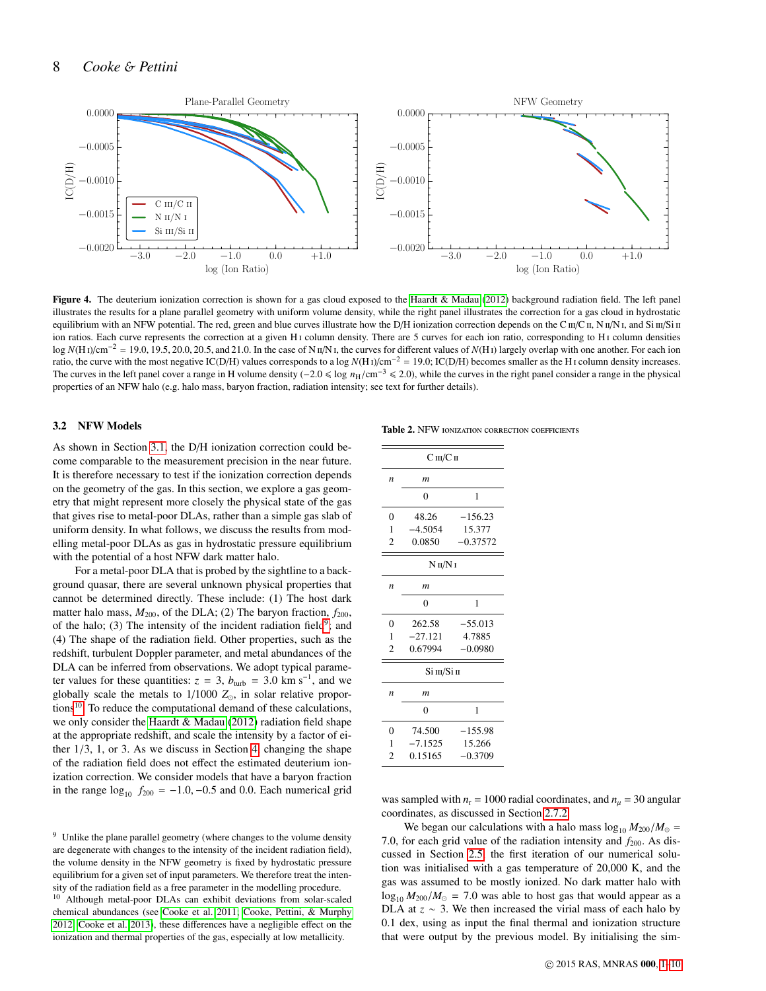

<span id="page-7-0"></span>Figure 4. The deuterium ionization correction is shown for a gas cloud exposed to the [Haardt & Madau](#page-9-0) [\(2012\)](#page-9-0) background radiation field. The left panel illustrates the results for a plane parallel geometry with uniform volume density, while the right panel illustrates the correction for a gas cloud in hydrostatic equilibrium with an NFW potential. The red, green and blue curves illustrate how the D/H ionization correction depends on the C  $\pi$ /C  $\pi$ , N  $\pi$ /N  $\pi$ , and Si  $\pi$ /Si  $\pi$ ion ratios. Each curve represents the correction at a given H<sub>1</sub> column density. There are 5 curves for each ion ratio, corresponding to H<sub>1</sub> column densities log *N*(H<sub>1</sub>)/cm<sup>-2</sup> = 19.0, 19.5, 20.0, 20.5, and 21.0. In the case of N  $\pi/N$ <sub>I</sub>, the curves for different values of *N*(H<sub>1</sub>) largely overlap with one another. For each ion ratio, the curve with the most negative IC(D/H) values corresponds to a log *<sup>N</sup>*(H <sup>i</sup>)/cm−<sup>2</sup> <sup>=</sup> <sup>19</sup>.0; IC(D/H) becomes smaller as the H <sup>i</sup> column density increases. The curves in the left panel cover a range in H volume density (−2.0 ≤ log  $n_H/cm^{-3}$  ≤ 2.0), while the curves in the right panel consider a range in the physical properties of an NFW halo (e.g. halo mass, baryon fraction, radiation intensity; see text for further details).

#### <span id="page-7-4"></span>3.2 NFW Models

<span id="page-7-3"></span>Table 2. NFW IONIZATION CORRECTION COEFFICIENTS

As shown in Section [3.1,](#page-6-3) the D/H ionization correction could become comparable to the measurement precision in the near future. It is therefore necessary to test if the ionization correction depends on the geometry of the gas. In this section, we explore a gas geometry that might represent more closely the physical state of the gas that gives rise to metal-poor DLAs, rather than a simple gas slab of uniform density. In what follows, we discuss the results from modelling metal-poor DLAs as gas in hydrostatic pressure equilibrium with the potential of a host NFW dark matter halo.

For a metal-poor DLA that is probed by the sightline to a background quasar, there are several unknown physical properties that cannot be determined directly. These include: (1) The host dark matter halo mass,  $M_{200}$ , of the DLA; (2) The baryon fraction,  $f_{200}$ , of the halo; (3) The intensity of the incident radiation field<sup>[9](#page-7-1)</sup>; and (4) The shape of the radiation field. Other properties, such as the redshift, turbulent Doppler parameter, and metal abundances of the DLA can be inferred from observations. We adopt typical parameter values for these quantities:  $z = 3$ ,  $b_{\text{turb}} = 3.0 \text{ km s}^{-1}$ , and we globally scale the metals to  $1/1000$  Z in solar relative proporglobally scale the metals to 1/1000 *Z*, in solar relative propor-tions<sup>[10](#page-7-2)</sup>. To reduce the computational demand of these calculations, we only consider the [Haardt & Madau](#page-9-0) [\(2012\)](#page-9-0) radiation field shape at the appropriate redshift, and scale the intensity by a factor of either 1/3, 1, or 3. As we discuss in Section [4,](#page-8-0) changing the shape of the radiation field does not effect the estimated deuterium ionization correction. We consider models that have a baryon fraction in the range  $log_{10} f_{200} = -1.0, -0.5$  and 0.0. Each numerical grid

| $C \text{ III} / C \text{ II}$ |                |            |  |  |  |
|--------------------------------|----------------|------------|--|--|--|
| n                              | m              |            |  |  |  |
|                                | $\theta$       | 1          |  |  |  |
| 0                              | 48.26          | $-156.23$  |  |  |  |
| 1                              | $-4.5054$      | 15.377     |  |  |  |
| $\overline{c}$                 | 0.0850         | $-0.37572$ |  |  |  |
|                                | $N$ II/ $N$ I  |            |  |  |  |
| n                              | m              |            |  |  |  |
|                                | $\theta$       | 1          |  |  |  |
| $\theta$                       | 262.58         | $-55.013$  |  |  |  |
| 1                              | $-27.121$      | 4.7885     |  |  |  |
| $\overline{c}$                 | 0.67994        | $-0.0980$  |  |  |  |
| Si ш/Si п                      |                |            |  |  |  |
| n                              | m              |            |  |  |  |
|                                | $\overline{0}$ | 1          |  |  |  |
| 0                              | 74.500         | $-155.98$  |  |  |  |
| 1                              | $-7.1525$      | 15.266     |  |  |  |
| $\overline{c}$                 | 0.15165        | $-0.3709$  |  |  |  |

was sampled with  $n_r = 1000$  radial coordinates, and  $n_\mu = 30$  angular coordinates, as discussed in Section [2.7.2.](#page-6-4)

We began our calculations with a halo mass  $\log_{10} M_{200} / M_{\odot} =$ 7.0, for each grid value of the radiation intensity and  $f_{200}$ . As discussed in Section [2.5,](#page-3-6) the first iteration of our numerical solution was initialised with a gas temperature of 20,000 K, and the gas was assumed to be mostly ionized. No dark matter halo with  $\log_{10} M_{200}$ / $M_{\odot}$  = 7.0 was able to host gas that would appear as a DLA at  $z \sim 3$ . We then increased the virial mass of each halo by <sup>0</sup>.1 dex, using as input the final thermal and ionization structure that were output by the previous model. By initialising the sim-

<span id="page-7-1"></span><sup>&</sup>lt;sup>9</sup> Unlike the plane parallel geometry (where changes to the volume density are degenerate with changes to the intensity of the incident radiation field), the volume density in the NFW geometry is fixed by hydrostatic pressure equilibrium for a given set of input parameters. We therefore treat the intensity of the radiation field as a free parameter in the modelling procedure.

<span id="page-7-2"></span><sup>10</sup> Although metal-poor DLAs can exhibit deviations from solar-scaled chemical abundances (see [Cooke et al. 2011;](#page-9-31) [Cooke, Pettini, & Murphy](#page-9-32) [2012;](#page-9-32) [Cooke et al. 2013\)](#page-9-33), these differences have a negligible effect on the ionization and thermal properties of the gas, especially at low metallicity.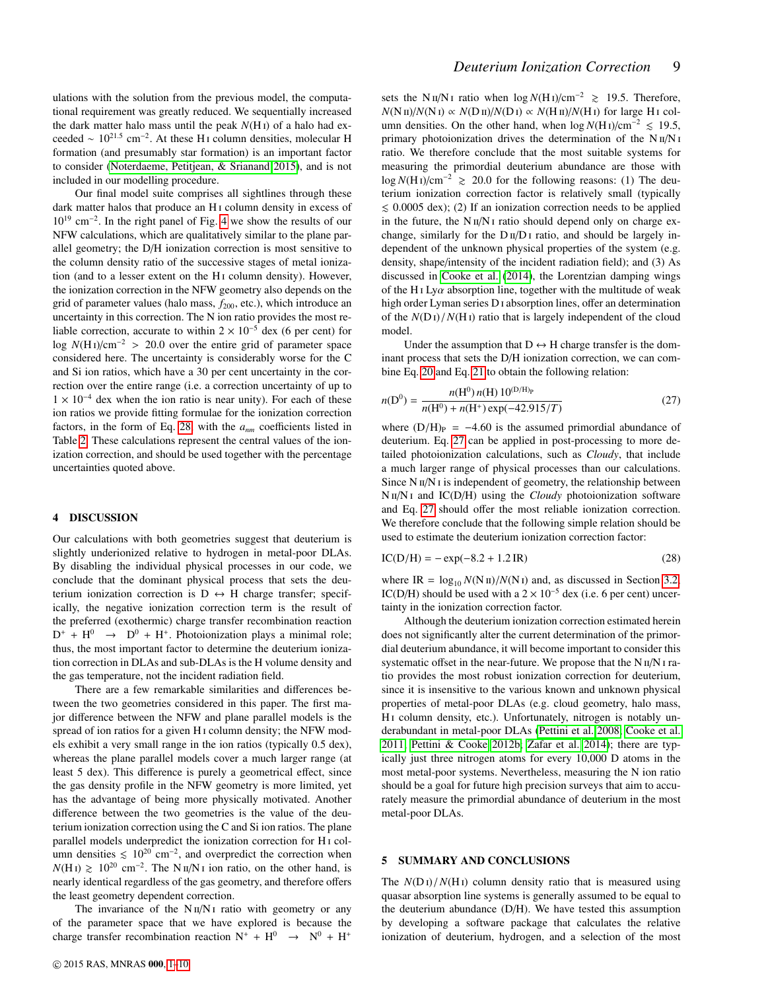ulations with the solution from the previous model, the computational requirement was greatly reduced. We sequentially increased the dark matter halo mass until the peak *N*(H i) of a halo had exceeded  $\sim 10^{21.5}$  cm<sup>-2</sup>. At these H<sub>I</sub> column densities, molecular H formation (and presumably star formation) is an important factor to consider [\(Noterdaeme, Petitjean, & Srianand 2015\)](#page-9-34), and is not included in our modelling procedure.

Our final model suite comprises all sightlines through these dark matter halos that produce an H<sub>1</sub> column density in excess of 10<sup>19</sup> cm<sup>−</sup><sup>2</sup> . In the right panel of Fig. [4](#page-7-0) we show the results of our NFW calculations, which are qualitatively similar to the plane parallel geometry; the D/H ionization correction is most sensitive to the column density ratio of the successive stages of metal ionization (and to a lesser extent on the H<sub>I</sub> column density). However, the ionization correction in the NFW geometry also depends on the grid of parameter values (halo mass,  $f_{200}$ , etc.), which introduce an uncertainty in this correction. The N ion ratio provides the most reliable correction, accurate to within  $2 \times 10^{-5}$  dex (6 per cent) for log *<sup>N</sup>*(H <sup>i</sup>)/cm<sup>−</sup><sup>2</sup> > <sup>20</sup>.0 over the entire grid of parameter space considered here. The uncertainty is considerably worse for the C and Si ion ratios, which have a 30 per cent uncertainty in the correction over the entire range (i.e. a correction uncertainty of up to  $1 \times 10^{-4}$  dex when the ion ratio is near unity). For each of these ion ratios we provide fitting formulae for the ionization correction factors, in the form of Eq. [28,](#page-8-2) with the *anm* coefficients listed in Table [2.](#page-7-3) These calculations represent the central values of the ionization correction, and should be used together with the percentage uncertainties quoted above.

#### <span id="page-8-0"></span>4 DISCUSSION

Our calculations with both geometries suggest that deuterium is slightly underionized relative to hydrogen in metal-poor DLAs. By disabling the individual physical processes in our code, we conclude that the dominant physical process that sets the deuterium ionization correction is  $D \leftrightarrow H$  charge transfer; specifically, the negative ionization correction term is the result of the preferred (exothermic) charge transfer recombination reaction  $D^+ + H^0 \rightarrow D^0 + H^+$ . Photoionization plays a minimal role; thus, the most important factor to determine the deuterium ionization correction in DLAs and sub-DLAs is the H volume density and the gas temperature, not the incident radiation field.

There are a few remarkable similarities and differences between the two geometries considered in this paper. The first major difference between the NFW and plane parallel models is the spread of ion ratios for a given H<sub>I</sub> column density; the NFW models exhibit a very small range in the ion ratios (typically 0.5 dex), whereas the plane parallel models cover a much larger range (at least 5 dex). This difference is purely a geometrical effect, since the gas density profile in the NFW geometry is more limited, yet has the advantage of being more physically motivated. Another difference between the two geometries is the value of the deuterium ionization correction using the C and Si ion ratios. The plane parallel models underpredict the ionization correction for H<sub>I</sub> column densities  $\leq 10^{20}$  cm<sup>-2</sup>, and overpredict the correction when  $N(HI) \ge 10^{20}$  cm<sup>-2</sup>. The N  $\pi/NI$  ion ratio, on the other hand, is nearly identical regardless of the gas geometry, and therefore offers the least geometry dependent correction.

The invariance of the  $N \text{ u}/N \text{ u}$  ratio with geometry or any of the parameter space that we have explored is because the charge transfer recombination reaction  $N^+ + H^0 \rightarrow N^0 + H^+$ 

sets the N  $\text{II/N I}$  ratio when  $\log N(\text{H I})/\text{cm}^{-2}$  ≥ 19.5. Therefore,  $N(N \text{ II})/N(N \text{ I}) \propto N(D \text{ II})/N(D \text{ I}) \propto N(H \text{ II})/N(H \text{ I})$  for large H<sub>I</sub> column densities. On the other hand, when  $\log N(H_I)/cm^{-2}$  ≤ 19.5, primary photoionization drives the determination of the  $N \text{ ii}/N \text{ i}$ ratio. We therefore conclude that the most suitable systems for measuring the primordial deuterium abundance are those with log *<sup>N</sup>*(H <sup>i</sup>)/cm<sup>−</sup><sup>2</sup> & <sup>20</sup>.0 for the following reasons: (1) The deuterium ionization correction factor is relatively small (typically  $\leq$  0.0005 dex); (2) If an ionization correction needs to be applied in the future, the  $N \pi/N$  i ratio should depend only on charge exchange, similarly for the  $D \text{II}/D$  i ratio, and should be largely independent of the unknown physical properties of the system (e.g. density, shape/intensity of the incident radiation field); and (3) As discussed in [Cooke et al.](#page-9-13) [\(2014\)](#page-9-13), the Lorentzian damping wings of the H<sub>I</sub> Ly $\alpha$  absorption line, together with the multitude of weak high order Lyman series D<sub>I</sub> absorption lines, offer an determination of the  $N(D) / N(H)$  ratio that is largely independent of the cloud model.

Under the assumption that  $D \leftrightarrow H$  charge transfer is the dominant process that sets the D/H ionization correction, we can combine Eq. [20](#page-3-2) and Eq. [21](#page-3-4) to obtain the following relation:

<span id="page-8-3"></span>
$$
n(D^{0}) = \frac{n(H^{0}) n(H) 10^{(D/H)p}}{n(H^{0}) + n(H^{+}) \exp(-42.915/T)}
$$
(27)

where  $(D/H)<sub>P</sub> = -4.60$  is the assumed primordial abundance of deuterium. Eq. [27](#page-8-3) can be applied in post-processing to more detailed photoionization calculations, such as *Cloudy*, that include a much larger range of physical processes than our calculations. Since  $N \pi/N$  i is independent of geometry, the relationship between N II/N I and IC(D/H) using the *Cloudy* photoionization software and Eq. [27](#page-8-3) should offer the most reliable ionization correction. We therefore conclude that the following simple relation should be used to estimate the deuterium ionization correction factor:

<span id="page-8-2"></span>
$$
IC(D/H) = -\exp(-8.2 + 1.2 \text{ IR})
$$
 (28)

where IR =  $\log_{10} N(N \text{ H})/N(N \text{ I})$  and, as discussed in Section [3.2,](#page-7-4) IC(D/H) should be used with a  $2 \times 10^{-5}$  dex (i.e. 6 per cent) uncertainty in the ionization correction factor.

Although the deuterium ionization correction estimated herein does not significantly alter the current determination of the primordial deuterium abundance, it will become important to consider this systematic offset in the near-future. We propose that the  $N \text{ II}/N \text{ I}$  ratio provides the most robust ionization correction for deuterium, since it is insensitive to the various known and unknown physical properties of metal-poor DLAs (e.g. cloud geometry, halo mass, H<sub>I</sub> column density, etc.). Unfortunately, nitrogen is notably underabundant in metal-poor DLAs [\(Pettini et al. 2008;](#page-9-35) [Cooke et al.](#page-9-31) [2011;](#page-9-31) [Pettini & Cooke 2012b;](#page-9-36) [Zafar et al. 2014\)](#page-9-37); there are typically just three nitrogen atoms for every 10,000 D atoms in the most metal-poor systems. Nevertheless, measuring the N ion ratio should be a goal for future high precision surveys that aim to accurately measure the primordial abundance of deuterium in the most metal-poor DLAs.

# <span id="page-8-1"></span>5 SUMMARY AND CONCLUSIONS

The  $N(D) / N(H)$  column density ratio that is measured using quasar absorption line systems is generally assumed to be equal to the deuterium abundance (D/H). We have tested this assumption by developing a software package that calculates the relative ionization of deuterium, hydrogen, and a selection of the most